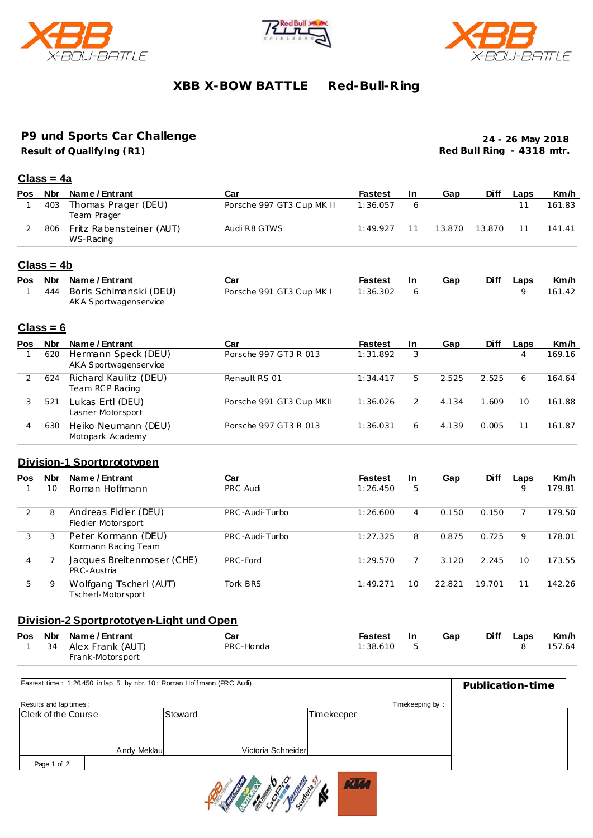





### **XBB X-BOW BATTLE Red-Bull-R ing**

# **P9 und Sports Car Challenge**

**Result of Qualifying (R1)**

**24 - 26 May 2018 Red Bull Ring - 4318 mtr.**

#### **Class = 4a**

| <b>Pos</b> | Nbr | Name / Entrant                        | Car                       | <b>Fastest</b> | -In | Gap    | Diff   | Laps | Km/h   |
|------------|-----|---------------------------------------|---------------------------|----------------|-----|--------|--------|------|--------|
|            | 403 | Thomas Prager (DEU)<br>Team Prager    | Porsche 997 GT3 Cup MK II | 1:36.057       |     |        |        |      | 161.83 |
|            | 806 | Fritz Rabensteiner (AUT)<br>WS-Racing | Audi R8 GTWS              | 1:49.927       |     | 13.870 | 13.870 | 11   | 141.41 |

### **Class = 4b**

|  | Pos Nbr Name/Entrant       | Car                      | Fastest  | - In | Gap | <b>Diff</b> | Laps | Km/h   |
|--|----------------------------|--------------------------|----------|------|-----|-------------|------|--------|
|  | 444 Boris Schimanski (DEU) | Porsche 991 GT3 Cup MK I | 1:36.302 |      |     |             |      | 161.42 |
|  | AKA Sportwagenservice      |                          |          |      |     |             |      |        |

#### **Class = 6**

| <b>Pos</b> | Nbr | Name / Entrant                               | Car                      | <b>Fastest</b> | -In | Gap   | <b>Diff</b> | Laps | Km/h   |
|------------|-----|----------------------------------------------|--------------------------|----------------|-----|-------|-------------|------|--------|
|            | 620 | Hermann Speck (DEU)<br>AKA Sportwagenservice | Porsche 997 GT3 R 013    | 1:31.892       | 3   |       |             | 4    | 169.16 |
|            | 624 | Richard Kaulitz (DEU)<br>Team RCP Racing     | Renault RS 01            | 1:34.417       | 5.  | 2.525 | 2.525       | 6    | 164.64 |
| 3          | 521 | Lukas Ertl (DEU)<br>Lasner Motorsport        | Porsche 991 GT3 Cup MKII | 1:36.026       |     | 4.134 | 1.609       | 10   | 161.88 |
| 4          | 630 | Heiko Neumann (DEU)<br>Motopark Academy      | Porsche 997 GT3 R 013    | 1:36.031       | 6   | 4.139 | 0.005       | 11   | 161.87 |

#### **Division-1 Sportprototypen**

| <b>Pos</b> | <b>Nbr</b> | Name / Entrant                               | Car             | <b>Fastest</b> | <b>In</b> | Gap    | <b>Diff</b> | Laps | Km/h   |
|------------|------------|----------------------------------------------|-----------------|----------------|-----------|--------|-------------|------|--------|
|            | 10         | Roman Hoffmann                               | PRC Audi        | 1:26.450       | 5         |        |             | 9    | 179.81 |
| 2          | 8          | Andreas Fidler (DEU)<br>Fiedler Motorsport   | PRC-Audi-Turbo  | 1:26.600       | 4         | 0.150  | 0.150       |      | 179.50 |
| 3          |            | Peter Kormann (DEU)<br>Kormann Racing Team   | PRC-Audi-Turbo  | 1:27.325       | 8         | 0.875  | 0.725       | 9    | 178.01 |
| 4          |            | Jacques Breitenmoser (CHE)<br>PRC-Austria    | PRC-Ford        | 1:29.570       |           | 3.120  | 2.245       | 10   | 173.55 |
| 5.         | 9          | Wolfgang Tscherl (AUT)<br>Tscherl-Motorsport | <b>Tork BRS</b> | 1:49.271       | 10        | 22.821 | 19.701      | 11   | 142.26 |

#### **Division-2 Sportprototyen-Light und Open**

|  | Pos Nbr Name/Entrant  | Car       | <b>Fastest</b> | -In | Gap | <b>Diff</b> | Laps | Km/h   |
|--|-----------------------|-----------|----------------|-----|-----|-------------|------|--------|
|  | 1 34 Alex Frank (AUT) | PRC-Honda | 1:38.610       |     |     |             |      | 157.64 |
|  | Frank-Motorsport      |           |                |     |     |             |      |        |

| Fastest time: 1:26.450 in lap 5 by nbr. 10: Roman Hoffmann (PRC Audi) | Publication-time   |                 |  |
|-----------------------------------------------------------------------|--------------------|-----------------|--|
| Results and lap times:                                                |                    | Timekeeping by: |  |
| <b>Clerk of the Course</b>                                            | Steward            | Timekeeper      |  |
|                                                                       |                    |                 |  |
|                                                                       |                    |                 |  |
| Andy Meklau                                                           | Victoria Schneider |                 |  |
| Page 1 of 2                                                           |                    |                 |  |